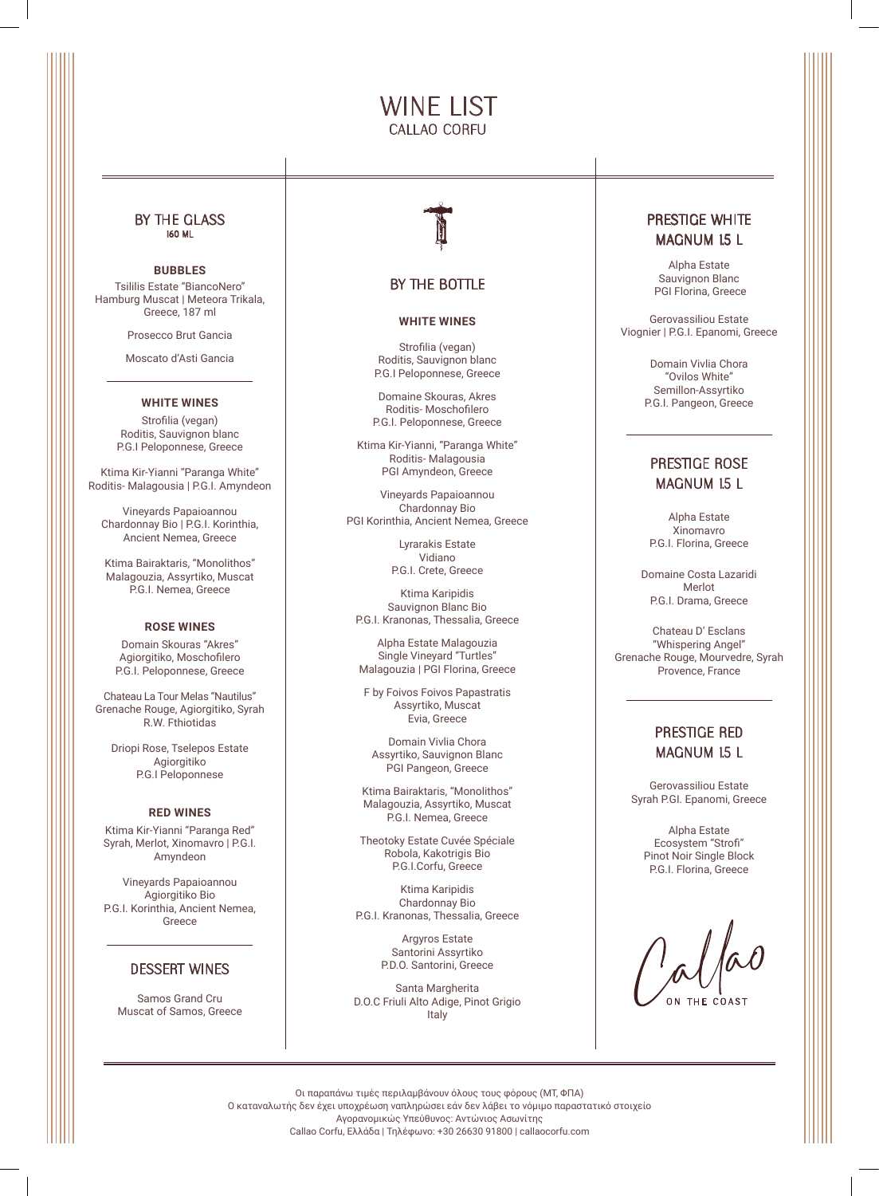# WINE LIST CALLAO CORFU

### BY THE GLASS 160 ML

## **BUBBLES**

Tsililis Estate "BiancoNero" Hamburg Muscat | Meteora Trikala, Greece, 187 ml

Prosecco Brut Gancia

Moscato d'Asti Gancia

## **WHITE WINES**

Strofilia (vegan) Roditis, Sauvignon blanc P.G.I Peloponnese, Greece

Ktima Kir-Yianni "Paranga White" Roditis- Malagousia | P.G.I. Amyndeon

Vineyards Papaioannou Chardonnay Bio | P.G.I. Korinthia, Ancient Nemea, Greece

Ktima Bairaktaris, "Monolithos" Malagouzia, Assyrtiko, Muscat P.G.I. Nemea, Greece

#### **ROSE WINES**

Domain Skouras "Akres" Agiorgitiko, Moschofilero P.G.I. Peloponnese, Greece

Chateau La Tour Melas "Nautilus" Grenache Rouge, Agiorgitiko, Syrah R.W. Fthiotidas

Driopi Rose, Tselepos Estate Agiorgitiko P.G.I Peloponnese

#### **RED WINES**

Ktima Kir-Yianni "Paranga Red" Syrah, Merlot, Xinomavro | P.G.I. Amyndeon

Vineyards Papaioannou Agiorgitiko Bio P.G.I. Korinthia, Ancient Nemea, Greece

### DESSERT WINES

Samos Grand Cru Muscat of Samos, Greece



## BY THE BOTTLE

#### **WHITE WINES**

Strofilia (vegan) Roditis, Sauvignon blanc P.G.I Peloponnese, Greece

Domaine Skouras, Akres Roditis- Moschofilero P.G.I. Peloponnese, Greece

Ktima Kir-Yianni, "Paranga White" Roditis- Malagousia PGI Amyndeon, Greece

Vineyards Papaioannou Chardonnay Bio PGI Korinthia, Ancient Nemea, Greece

> Lyrarakis Estate Vidiano P.G.I. Crete, Greece

Ktima Karipidis Sauvignon Blanc Bio P.G.I. Kranonas, Thessalia, Greece

Alpha Estate Malagouzia Single Vineyard "Turtles" Malagouzia | PGI Florina, Greece

F by Foivos Foivos Papastratis Assyrtiko, Muscat Evia, Greece

Domain Vivlia Chora Assyrtiko, Sauvignon Blanc PGI Pangeon, Greece

Ktima Bairaktaris, "Monolithos" Malagouzia, Assyrtiko, Muscat P.G.I. Nemea, Greece

Theotoky Estate Cuvée Spéciale Robola, Kakotrigis Bio P.G.I.Corfu, Greece

Ktima Karipidis Chardonnay Bio P.G.I. Kranonas, Thessalia, Greece

> Argyros Estate Santorini Assyrtiko P.D.O. Santorini, Greece

Santa Margherita D.O.C Friuli Alto Adige, Pinot Grigio Italy

## PRESTIGE WHITE MAGNUM 1.5 L

Alpha Estate Sauvignon Blanc PGI Florina, Greece

Gerovassiliou Estate Viognier | P.G.I. Epanomi, Greece

> Domain Vivlia Chora "Ovilos White" Semillon-Assyrtiko P.G.I. Pangeon, Greece

## PRESTIGE ROSE MAGNUM 1.5 L

Alpha Estate Xinomavro P.G.I. Florina, Greece

Domaine Costa Lazaridi Merlot P.G.I. Drama, Greece

Chateau D' Esclans "Whispering Angel" Grenache Rouge, Mourvedre, Syrah Provence, France

## PRESTIGE RED MAGNUM 1.5 L

Gerovassiliou Estate Syrah P.GI. Epanomi, Greece

> Alpha Estate Ecosystem "Strofi" Pinot Noir Single Block P.G.I. Florina, Greece

Οι παραπάνω τιμές περιλαμβάνουν όλους τους φόρους (MT, ΦΠΑ) Ο καταναλωτής δεν έχει υποχρέωση ναπληρώσει εάν δεν λάβει το νόμιμο παραστατικό στοιχείο Αγορανομικώς Υπεύθυνος: Αντώνιος Ασωνίτης Callao Corfu, Ελλάδα | Τηλέφωνο: +30 26630 91800 | callaocorfu.com